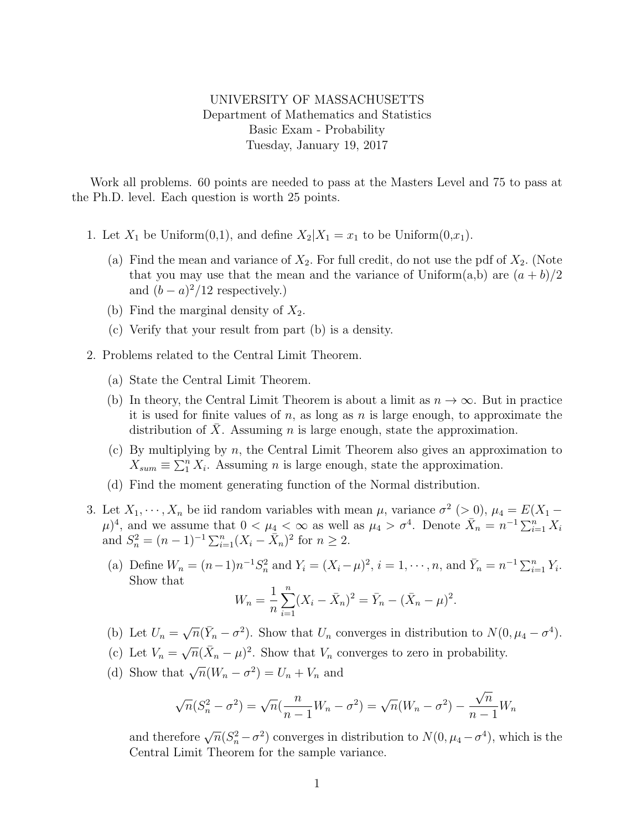## UNIVERSITY OF MASSACHUSETTS Department of Mathematics and Statistics Basic Exam - Probability Tuesday, January 19, 2017

Work all problems. 60 points are needed to pass at the Masters Level and 75 to pass at the Ph.D. level. Each question is worth 25 points.

- 1. Let  $X_1$  be Uniform $(0,1)$ , and define  $X_2|X_1=x_1$  to be Uniform $(0,x_1)$ .
	- (a) Find the mean and variance of  $X_2$ . For full credit, do not use the pdf of  $X_2$ . (Note that you may use that the mean and the variance of Uniform $(a, b)$  are  $(a + b)/2$ and  $(b-a)^2/12$  respectively.)
	- (b) Find the marginal density of  $X_2$ .
	- (c) Verify that your result from part (b) is a density.
- 2. Problems related to the Central Limit Theorem.
	- (a) State the Central Limit Theorem.
	- (b) In theory, the Central Limit Theorem is about a limit as  $n \to \infty$ . But in practice it is used for finite values of  $n$ , as long as  $n$  is large enough, to approximate the distribution of X. Assuming n is large enough, state the approximation.
	- (c) By multiplying by n, the Central Limit Theorem also gives an approximation to  $X_{sum} \equiv \sum_{1}^{n} X_i$ . Assuming *n* is large enough, state the approximation.
	- (d) Find the moment generating function of the Normal distribution.
- 3. Let  $X_1, \dots, X_n$  be iid random variables with mean  $\mu$ , variance  $\sigma^2$  (> 0),  $\mu_4 = E(X_1 (\mu)^4$ , and we assume that  $0 < \mu_4 < \infty$  as well as  $\mu_4 > \sigma^4$ . Denote  $\bar{X}_n = n^{-1} \sum_{i=1}^n X_i$ and  $S_n^2 = (n-1)^{-1} \sum_{i=1}^n (X_i - \bar{X}_n)^2$  for  $n \ge 2$ .
	- (a) Define  $W_n = (n-1)n^{-1}S_n^2$  and  $Y_i = (X_i \mu)^2$ ,  $i = 1, \dots, n$ , and  $\bar{Y}_n = n^{-1}\sum_{i=1}^n Y_i$ . Show that

$$
W_n = \frac{1}{n} \sum_{i=1}^n (X_i - \bar{X}_n)^2 = \bar{Y}_n - (\bar{X}_n - \mu)^2.
$$

- (b) Let  $U_n =$  $\sqrt{n}(\bar{Y}_n - \sigma^2)$ . Show that  $U_n$  converges in distribution to  $N(0, \mu_4 - \sigma^4)$ .
- (c) Let  $V_n =$  $\sqrt{n}(\bar{X}_n - \mu)^2$ . Show that  $V_n$  converges to zero in probability.
- (d) Show that  $\sqrt{n}(W_n \sigma^2) = U_n + V_n$  and

$$
\sqrt{n}(S_n^2 - \sigma^2) = \sqrt{n}(\frac{n}{n-1}W_n - \sigma^2) = \sqrt{n}(W_n - \sigma^2) - \frac{\sqrt{n}}{n-1}W_n
$$

and therefore  $\sqrt{n}(S_n^2 - \sigma^2)$  converges in distribution to  $N(0, \mu_4 - \sigma^4)$ , which is the Central Limit Theorem for the sample variance.